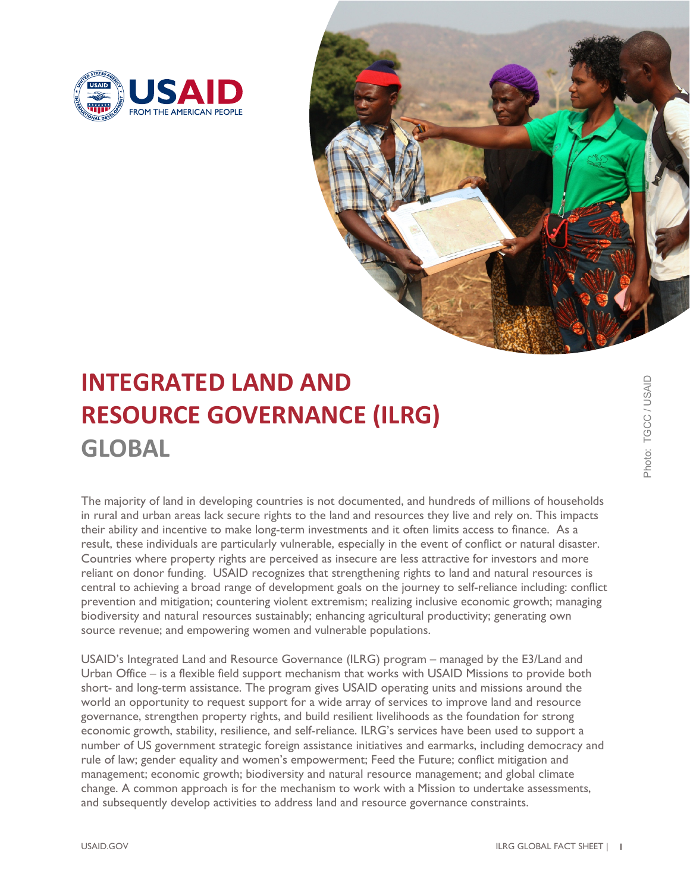



## **INTEGRATED LAND AND RESOURCE GOVERNANCE (ILRG) GLOBAL**

The majority of land in developing countries is not documented, and hundreds of millions of households in rural and urban areas lack secure rights to the land and resources they live and rely on. This impacts their ability and incentive to make long-term investments and it often limits access to finance. As a result, these individuals are particularly vulnerable, especially in the event of conflict or natural disaster. Countries where property rights are perceived as insecure are less attractive for investors and more reliant on donor funding. USAID recognizes that strengthening rights to land and natural resources is central to achieving a broad range of development goals on the journey to self-reliance including: conflict prevention and mitigation; countering violent extremism; realizing inclusive economic growth; managing biodiversity and natural resources sustainably; enhancing agricultural productivity; generating own source revenue; and empowering women and vulnerable populations.

USAID's Integrated Land and Resource Governance (ILRG) program – managed by the E3/Land and Urban Office – is a flexible field support mechanism that works with USAID Missions to provide both short- and long-term assistance. The program gives USAID operating units and missions around the world an opportunity to request support for a wide array of services to improve land and resource governance, strengthen property rights, and build resilient livelihoods as the foundation for strong economic growth, stability, resilience, and self-reliance. ILRG's services have been used to support a number of US government strategic foreign assistance initiatives and earmarks, including democracy and rule of law; gender equality and women's empowerment; Feed the Future; conflict mitigation and management; economic growth; biodiversity and natural resource management; and global climate change. A common approach is for the mechanism to work with a Mission to undertake assessments, and subsequently develop activities to address land and resource governance constraints.